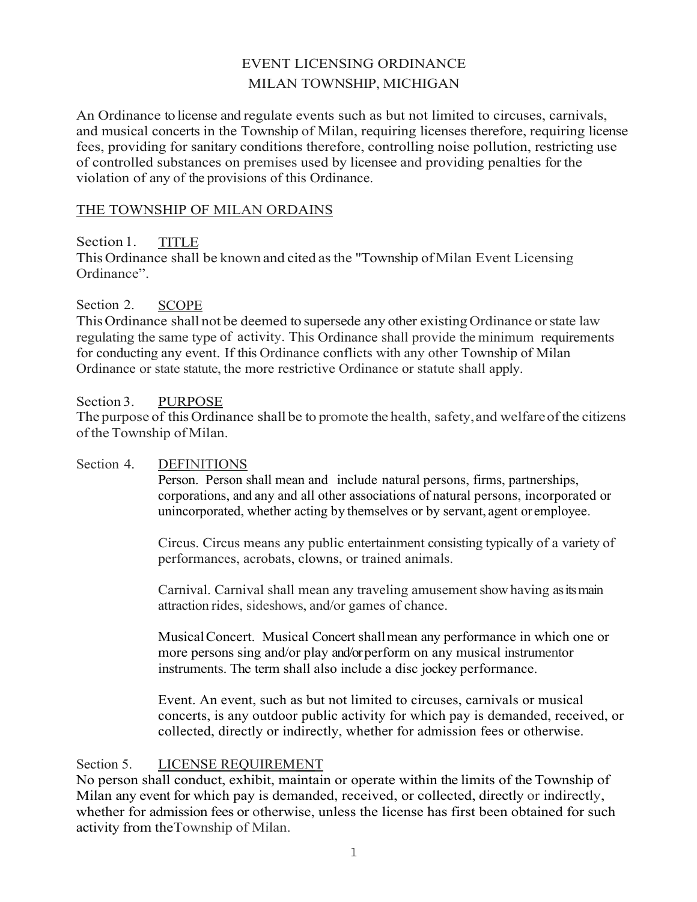# EVENT LICENSING ORDINANCE MILAN TOWNSHIP, MICHIGAN

An Ordinance to license and regulate events such as but not limited to circuses, carnivals, and musical concerts in the Township of Milan, requiring licenses therefore, requiring license fees, providing for sanitary conditions therefore, controlling noise pollution, restricting use of controlled substances on premises used by licensee and providing penalties for the violation of any of the provisions of this Ordinance.

#### THE TOWNSHIP OF MILAN ORDAINS

Section 1. TITLE This Ordinance shall be known and cited as the "Township of Milan Event Licensing Ordinance".

#### Section 2. SCOPE

This Ordinance shall not be deemed to supersede any other existing Ordinance or state law regulating the same type of activity. This Ordinance shall provide the minimum requirements for conducting any event. If this Ordinance conflicts with any other Township of Milan Ordinance or state statute, the more restrictive Ordinance or statute shall apply.

#### Section 3. PURPOSE

The purpose of this Ordinance shall be to promote the health, safety, and welfare of the citizens of the Township of Milan.

#### Section 4. DEFINITIONS

Person. Person shall mean and include natural persons, firms, partnerships, corporations, and any and all other associations of natural persons, incorporated or unincorporated, whether acting by themselves or by servant, agent or employee.

Circus. Circus means any public entertainment consisting typically of a variety of performances, acrobats, clowns, or trained animals.

Carnival. Carnival shall mean any traveling amusement show having as its main attraction rides, sideshows, and/or games of chance.

Musical Concert. Musical Concert shall mean any performance in which one or more persons sing and/or play and/or perform on any musical instrument or instruments. The term shall also include a disc jockey performance.

Event. An event, such as but not limited to circuses, carnivals or musical concerts, is any outdoor public activity for which pay is demanded, received, or collected, directly or indirectly, whether for admission fees or otherwise.

#### Section 5. LICENSE REQUIREMENT

No person shall conduct, exhibit, maintain or operate within the limits of the Township of Milan any event for which pay is demanded, received, or collected, directly or indirectly, whether for admission fees or otherwise, unless the license has first been obtained for such activity from the Township of Milan.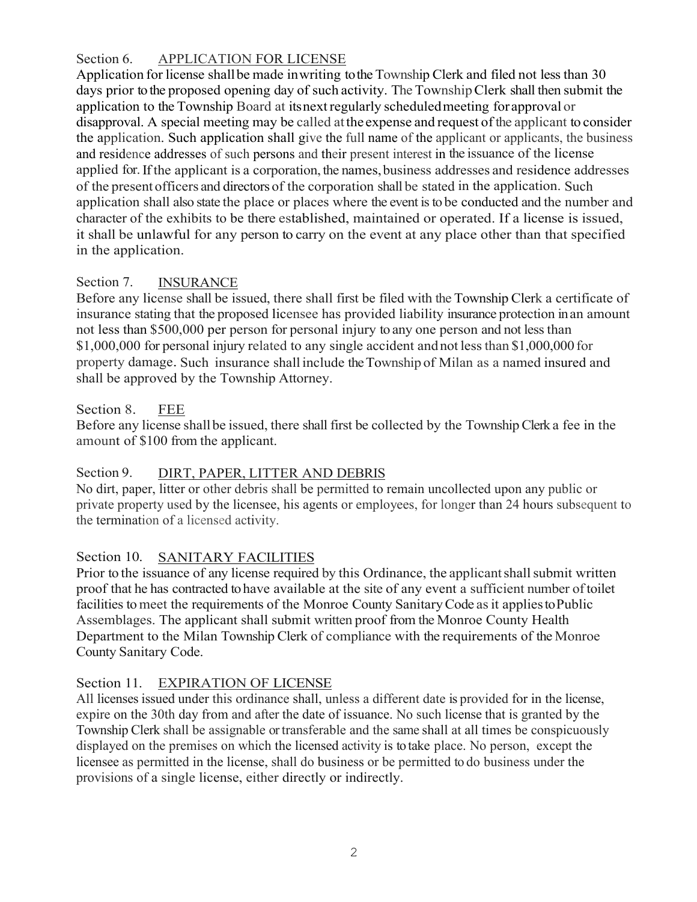Section 6. APPLICATION FOR LICENSE

Application for license shall be made in writing to the Township Clerk and filed not less than 30 days prior to the proposed opening day of such activity. The Township Clerk shall then submit the application to the Township Board at its next regularly scheduled meeting for approval or disapproval. A special meeting may be called at the expense and request of the applicant to consider the application . Such application shall give the full name of the applicant or applicants, the business and residence addresses of such persons and their present interest in the issuance of the license applied for. If the applicant is a corporation, the names, business addresses and residence addresses of the present officers and directors of the corporation shall be stated in the application. Such application shall also state the place or places where the event is to be conducted and the number and character of the exhibits to be there established, maintained or operated. If a license is issued, it shall be unlawful for any person to carry on the event at any place other than that specified in the application.

# Section 7. **INSURANCE**

Before any license shall be issued, there shall first be filed with the Township Clerk a certificate of insurance stating that the proposed licensee has provided liability insurance protection in an amount not less than \$500,000 per person for personal injury to any one person and not less than \$1,000,000 for personal injury related to any single accident and not less than \$1,000,000 for property damage . Such insurance shall include the Township of Milan as a named insured and shall be approved by the Township Attorney.

## Section 8. FEE

Before any license shall be issued, there shall first be collected by the Township Clerk a fee in the amount of \$100 from the applicant.

# Section 9. DIRT, PAPER, LITTER AND DEBRIS

No dirt, paper, litter or other debris shall be permitted to remain uncollected upon any public or private property used by the licensee, his agents or employees, for longer than 24 hours subsequent to the termination of a licensed activity.

# Section 10. SANITARY FACILITIES

Prior to the issuance of any license required by this Ordinance, the applicant shall submit written proof that he has contracted to have available at the site of any event a sufficient number of toilet facilities to meet the requirements of the Monroe County Sanitary Code as it applies to Public Assemblages. The applicant shall submit written proof from the Monroe County Health Department to the Milan Township Clerk of compliance with the requirements of the Monroe County Sanitary Code.

## Section 11. EXPIRATION OF LICENSE

All licenses issued under this ordinance shall, unless a different date is provided for in the license, expire on the 30th day from and after the date of issuance. No such license that is granted by the Township Clerk shall be assignable or transferable and the same shall at all times be conspicuously displayed on the premises on which the licensed activity is to take place. No person, except the licensee as permitted in the license, shall do business or be permitted to do business under the provisions of a single license, either directly or indirectly.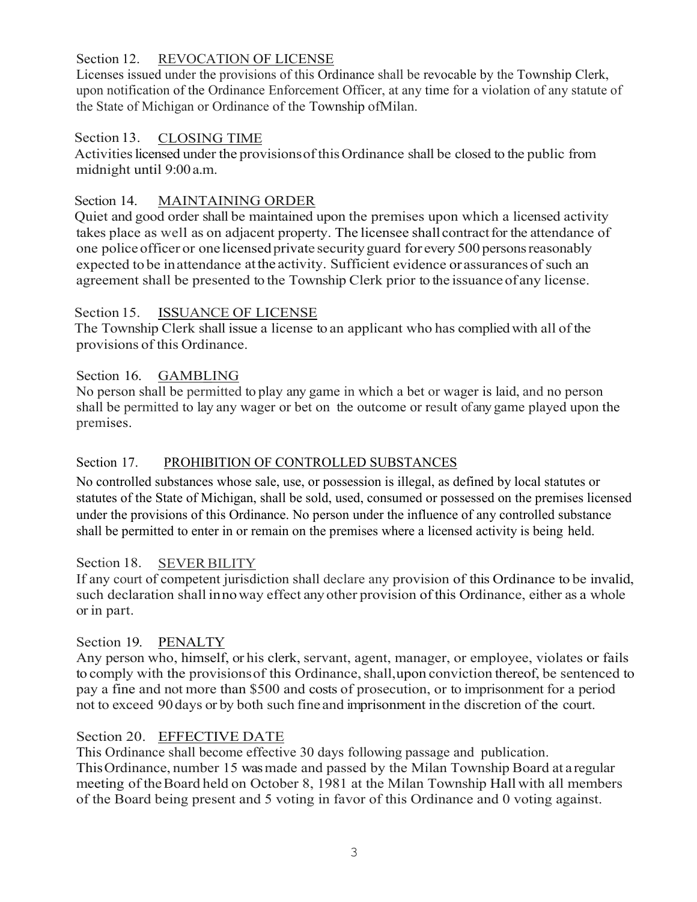## Section 12. REVOCATION OF LICENSE

Licenses issued under the provisions of this Ordinance shall be revocable by the Township Clerk, upon notification of the Ordinance Enforcement Officer, at any time for a violation of any statute of the State of Michigan or Ordinance of the Township of Milan.

#### Section 13. CLOSING TIME

Activities licensed under the provisions of this Ordinance shall be closed to the public from midnight until 9:00 a.m.

## Section 14. MAINTAINING ORDER

Quiet and good order shall be maintained upon the premises upon which a licensed activity takes place as well as on adjacent property. The licensee shall contract for the attendance of one police officer or one licensed private security guard for every 500 persons reasonably expected to be in attendance at the activity. Sufficient evidence or assurances of such an agreement shall be presented to the Township Clerk prior to the issuance of any license.

## Section 15. ISSUANCE OF LICENSE

The Township Clerk shall issue a license to an applicant who has complied with all of the provisions of this Ordinance.

# Section 16. GAMBLING

No person shall be permitted to play any game in which a bet or wager is laid, and no person shall be permitted to lay any wager or bet on the outcome or result of any game played upon the premises.

## Section 17. PROHIBITION OF CONTROLLED SUBSTANCES

No controlled substances whose sale, use, or possession is illegal, as defined by local statutes or statutes of the State of Michigan, shall be sold, used, consumed or possessed on the premises licensed under the provisions of this Ordinance. No person under the influence of any controlled substance shall be permitted to enter in or remain on the premises where a licensed activity is being held.

## Section 18. SEVER BILITY

If any court of competent jurisdiction shall declare any provision of this Ordinance to be invalid, such declaration shall in no way effect any other provision of this Ordinance, either as a whole or in part.

## Section 19. PENALTY

Any person who, himself, or his clerk, servant, agent, manager, or employee, violates or fails to comply with the provisions of this Ordinance, shall, upon conviction thereof, be sentenced to pay a fine and not more than \$500 and costs of prosecution, or to imprisonment for a period not to exceed 90 days or by both such fine and imprisonment in the discretion of the court.

## Section 20. EFFECTIVE DATE

This Ordinance shall become effective 30 days following passage and publication. This Ordinance, number 15 was made and passed by the Milan Township Board at a regular meeting of the Board held on October 8, 1981 at the Milan Township Hall with all members of the Board being present and 5 voting in favor of this Ordinance and 0 voting against.